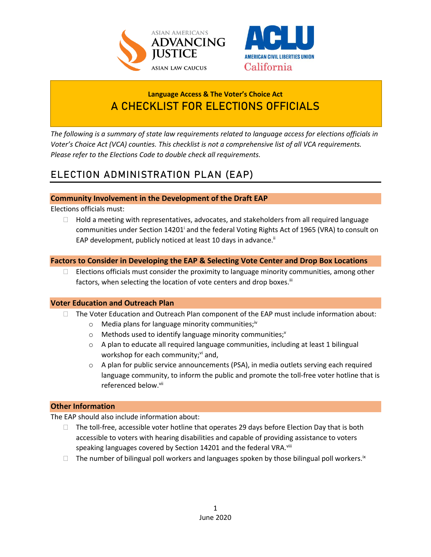



## **Language Access & The Voter's Choice Act A CHECKLIST FOR ELECTIONS OFFICIALS**

*The following is a summary of state law requirements related to language access for elections officials in Voter's Choice Act (VCA) counties. This checklist is not a comprehensive list of all VCA requirements. Please refer to the Elections Code to double check all requirements.* 

# **ELECTION ADMINISTRATION PLAN (EAP)**

### **Community Involvement in the Development of the Draft EAP**

Elections officials must:

 $\Box$  Hold a meeting with representatives, advocates, and stakeholders from all required language communities under Section 14201<sup>i</sup> and the federal Voting Rights Act of 1965 (VRA) to consult on EAP development, publicly noticed at least 10 days in advance.<sup>ii</sup>

### **Factors to Consider in Developing the EAP & Selecting Vote Center and Drop Box Locations**

 $\Box$  Elections officials must consider the proximity to language minority communities, among other factors, when selecting the location of vote centers and drop boxes.iii

#### **Voter Education and Outreach Plan**

- $\Box$  The Voter Education and Outreach Plan component of the EAP must include information about:
	- $\circ$  Media plans for language minority communities;<sup>iv</sup>
	- $\circ$  Methods used to identify language minority communities;<sup>v</sup>
	- $\circ$  A plan to educate all required language communities, including at least 1 bilingual workshop for each community; $vi$  and,
	- $\circ$  A plan for public service announcements (PSA), in media outlets serving each required language community, to inform the public and promote the toll-free voter hotline that is referenced below.<sup>vii</sup>

#### **Other Information**

The EAP should also include information about:

- $\Box$  The toll-free, accessible voter hotline that operates 29 days before Election Day that is both accessible to voters with hearing disabilities and capable of providing assistance to voters speaking languages covered by Section 14201 and the federal VRA.<sup>viii</sup>
- $\Box$  The number of bilingual poll workers and languages spoken by those bilingual poll workers.<sup>ix</sup>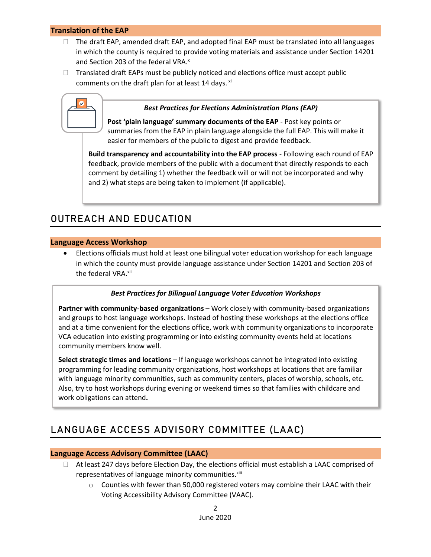#### **Translation of the EAP**

- $\Box$  The draft EAP, amended draft EAP, and adopted final EAP must be translated into all languages in which the county is required to provide voting materials and assistance under Section 14201 and Section 203 of the federal VRA.<sup>x</sup>
- $\Box$  Translated draft EAPs must be publicly noticed and elections office must accept public comments on the draft plan for at least 14 days.  $x_i$



#### *Best Practices for Elections Administration Plans (EAP)*

**Post 'plain language' summary documents of the EAP** - Post key points or summaries from the EAP in plain language alongside the full EAP. This will make it easier for members of the public to digest and provide feedback.

**Build transparency and accountability into the EAP process** - Following each round of EAP feedback, provide members of the public with a document that directly responds to each comment by detailing 1) whether the feedback will or will not be incorporated and why and 2) what steps are being taken to implement (if applicable).

## **OUTREACH AND EDUCATION**

#### **Language Access Workshop**

• Elections officials must hold at least one bilingual voter education workshop for each language in which the county must provide language assistance under Section 14201 and Section 203 of the federal VRA.<sup>xii</sup>

#### *Best Practices for Bilingual Language Voter Education Workshops*

**Partner with community-based organizations** – Work closely with community-based organizations and groups to host language workshops. Instead of hosting these workshops at the elections office and at a time convenient for the elections office, work with community organizations to incorporate VCA education into existing programming or into existing community events held at locations community members know well.

**Select strategic times and locations** – If language workshops cannot be integrated into existing programming for leading community organizations, host workshops at locations that are familiar with language minority communities, such as community centers, places of worship, schools, etc. Also, try to host workshops during evening or weekend times so that families with childcare and work obligations can attend**.**

## **LANGUAGE ACCESS ADVISORY COMMITTEE (LAAC)**

#### **Language Access Advisory Committee (LAAC)**

- $\Box$  At least 247 days before Election Day, the elections official must establish a LAAC comprised of representatives of language minority communities.<sup>xiii</sup>
	- $\circ$  Counties with fewer than 50,000 registered voters may combine their LAAC with their Voting Accessibility Advisory Committee (VAAC).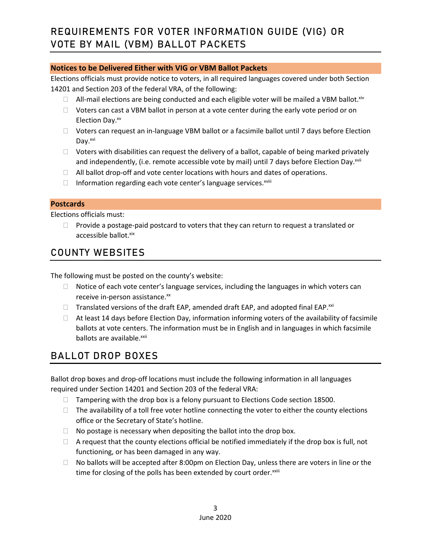### **Notices to be Delivered Either with VIG or VBM Ballot Packets**

Elections officials must provide notice to voters, in all required languages covered under both Section 14201 and Section 203 of the federal VRA, of the following:

- $\Box$  All-mail elections are being conducted and each eligible voter will be mailed a VBM ballot.<sup>xiv</sup>
- $\Box$  Voters can cast a VBM ballot in person at a vote center during the early vote period or on Election Day.<sup>xv</sup>
- □ Voters can request an in-language VBM ballot or a facsimile ballot until 7 days before Election Day.<sup>xvi</sup>
- $\Box$  Voters with disabilities can request the delivery of a ballot, capable of being marked privately and independently, (i.e. remote accessible vote by mail) until 7 days before Election Day.<sup>xvii</sup>
- $\Box$  All ballot drop-off and vote center locations with hours and dates of operations.
- $\Box$  Information regarding each vote center's language services. $^{x}$

#### **Postcards**

Elections officials must:

 $\Box$  Provide a postage-paid postcard to voters that they can return to request a translated or accessible ballot.xix

## **COUNTY WEBSITES**

The following must be posted on the county's website:

- $\Box$  Notice of each vote center's language services, including the languages in which voters can receive in-person assistance.<sup>xx</sup>
- $\Box$  Translated versions of the draft EAP, amended draft EAP, and adopted final EAP. $^{xxi}$
- $\Box$  At least 14 days before Election Day, information informing voters of the availability of facsimile ballots at vote centers. The information must be in English and in languages in which facsimile ballots are available.<sup>xxii</sup>

## **BALLOT DROP BOXES**

Ballot drop boxes and drop-off locations must include the following information in all languages required under Section 14201 and Section 203 of the federal VRA:

- $\Box$  Tampering with the drop box is a felony pursuant to Elections Code section 18500.
- $\Box$  The availability of a toll free voter hotline connecting the voter to either the county elections office or the Secretary of State's hotline.
- $\Box$  No postage is necessary when depositing the ballot into the drop box.
- $\Box$  A request that the county elections official be notified immediately if the drop box is full, not functioning, or has been damaged in any way.
- $\Box$  No ballots will be accepted after 8:00pm on Election Day, unless there are voters in line or the time for closing of the polls has been extended by court order.<sup>xxiii</sup>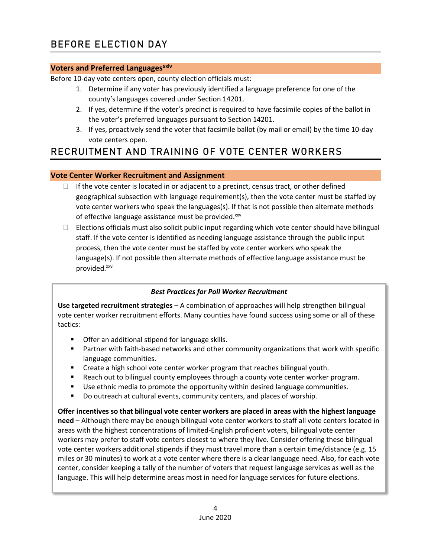#### **Voters and Preferred Languagesxxiv**

Before 10-day vote centers open, county election officials must:

- 1. Determine if any voter has previously identified a language preference for one of the county's languages covered under Section 14201.
- 2. If yes, determine if the voter's precinct is required to have facsimile copies of the ballot in the voter's preferred languages pursuant to Section 14201.
- 3. If yes, proactively send the voter that facsimile ballot (by mail or email) by the time 10-day vote centers open.

## **RECRUITMENT AND TRAINING OF VOTE CENTER WORKERS**

## **Vote Center Worker Recruitment and Assignment**

- $\Box$  If the vote center is located in or adjacent to a precinct, census tract, or other defined geographical subsection with language requirement(s), then the vote center must be staffed by vote center workers who speak the languages(s). If that is not possible then alternate methods of effective language assistance must be provided.xxv
- $\Box$  Elections officials must also solicit public input regarding which vote center should have bilingual staff. If the vote center is identified as needing language assistance through the public input process, then the vote center must be staffed by vote center workers who speak the language(s). If not possible then alternate methods of effective language assistance must be provided.<sup>xxvi</sup>

## *Best Practices for Poll Worker Recruitment*

**Use targeted recruitment strategies** – A combination of approaches will help strengthen bilingual vote center worker recruitment efforts. Many counties have found success using some or all of these tactics:

- Offer an additional stipend for language skills.
- Partner with faith-based networks and other community organizations that work with specific language communities.
- Create a high school vote center worker program that reaches bilingual youth.
- Reach out to bilingual county employees through a county vote center worker program.
- Use ethnic media to promote the opportunity within desired language communities.
- Do outreach at cultural events, community centers, and places of worship.

**Offer incentives so that bilingual vote center workers are placed in areas with the highest language need** – Although there may be enough bilingual vote center workers to staff all vote centers located in areas with the highest concentrations of limited-English proficient voters, bilingual vote center workers may prefer to staff vote centers closest to where they live. Consider offering these bilingual vote center workers additional stipends if they must travel more than a certain time/distance (e.g. 15 miles or 30 minutes) to work at a vote center where there is a clear language need. Also, for each vote center, consider keeping a tally of the number of voters that request language services as well as the language. This will help determine areas most in need for language services for future elections.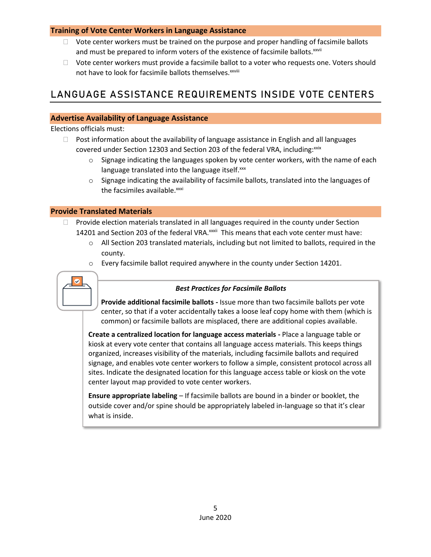#### **Training of Vote Center Workers in Language Assistance**

- $\Box$  Vote center workers must be trained on the purpose and proper handling of facsimile ballots and must be prepared to inform voters of the existence of facsimile ballots.<sup>xxvii</sup>
- $\Box$  Vote center workers must provide a facsimile ballot to a voter who requests one. Voters should not have to look for facsimile ballots themselves. xxviii

## **LANGUAGE ASSISTANCE REQUIREMENTS INSIDE VOTE CENTERS**

## **Advertise Availability of Language Assistance**

Elections officials must:

- $\Box$  Post information about the availability of language assistance in English and all languages covered under Section 12303 and Section 203 of the federal VRA, including: xxix
	- $\circ$  Signage indicating the languages spoken by vote center workers, with the name of each language translated into the language itself.xxx
	- o Signage indicating the availability of facsimile ballots, translated into the languages of the facsimiles available.<sup>xxxi</sup>

### **Provide Translated Materials**

- $\Box$  Provide election materials translated in all languages required in the county under Section 14201 and Section 203 of the federal VRA.<sup>xxxii</sup> This means that each vote center must have:
	- $\circ$  All Section 203 translated materials, including but not limited to ballots, required in the county.
	- $\circ$  Every facsimile ballot required anywhere in the county under Section 14201.



## *Best Practices for Facsimile Ballots*

**Provide additional facsimile ballots -** Issue more than two facsimile ballots per vote center, so that if a voter accidentally takes a loose leaf copy home with them (which is common) or facsimile ballots are misplaced, there are additional copies available.

**Create a centralized location for language access materials -** Place a language table or kiosk at every vote center that contains all language access materials. This keeps things organized, increases visibility of the materials, including facsimile ballots and required signage, and enables vote center workers to follow a simple, consistent protocol across all sites. Indicate the designated location for this language access table or kiosk on the vote center layout map provided to vote center workers.

**Ensure appropriate labeling** – If facsimile ballots are bound in a binder or booklet, the outside cover and/or spine should be appropriately labeled in-language so that it's clear what is inside.